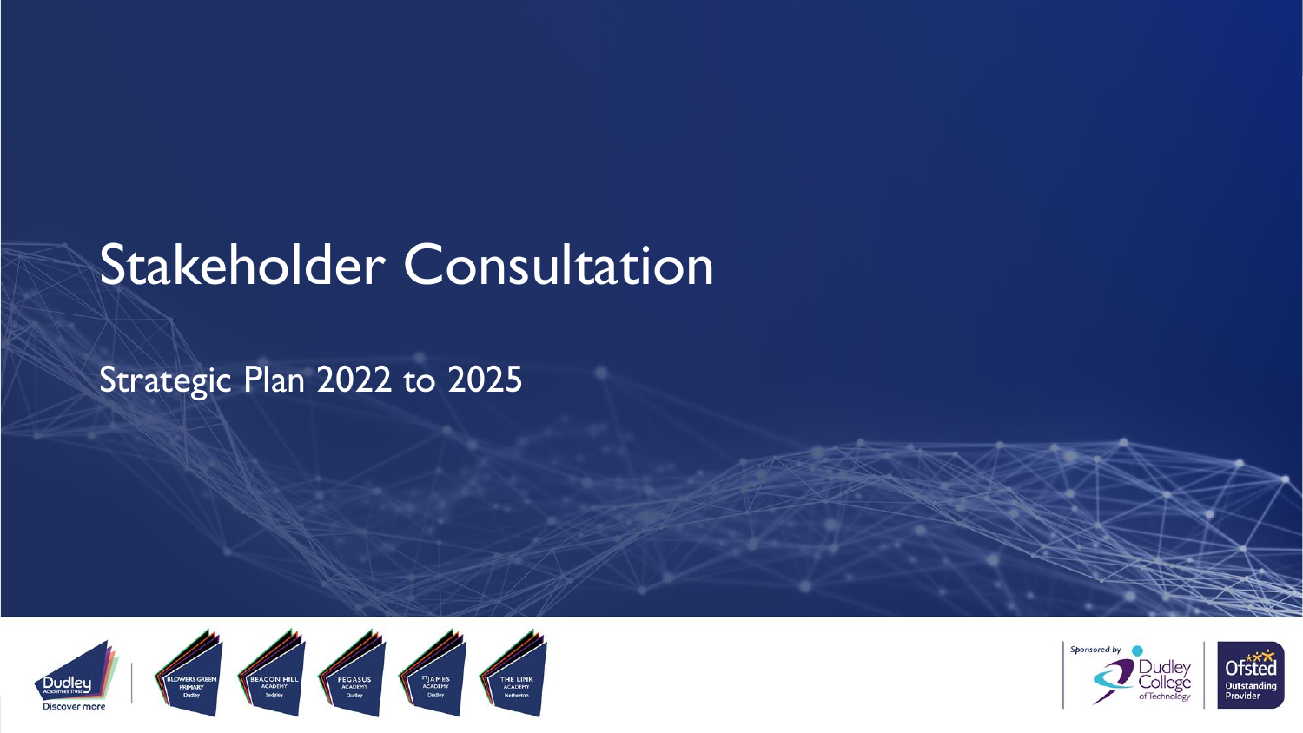# Stakeholder Consultation

#### Strategic Plan 2022 to 2025



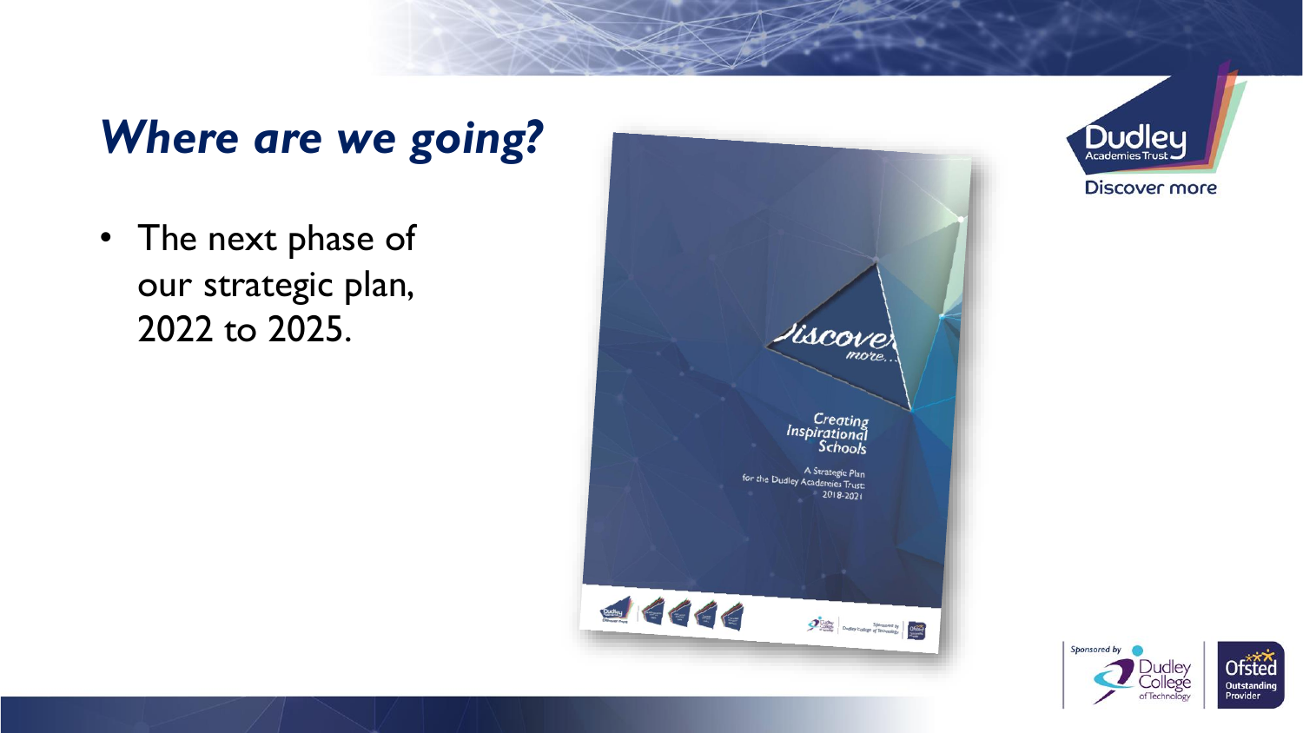## *Where are we going?*

• The next phase of our strategic plan, 2022 to 2025.





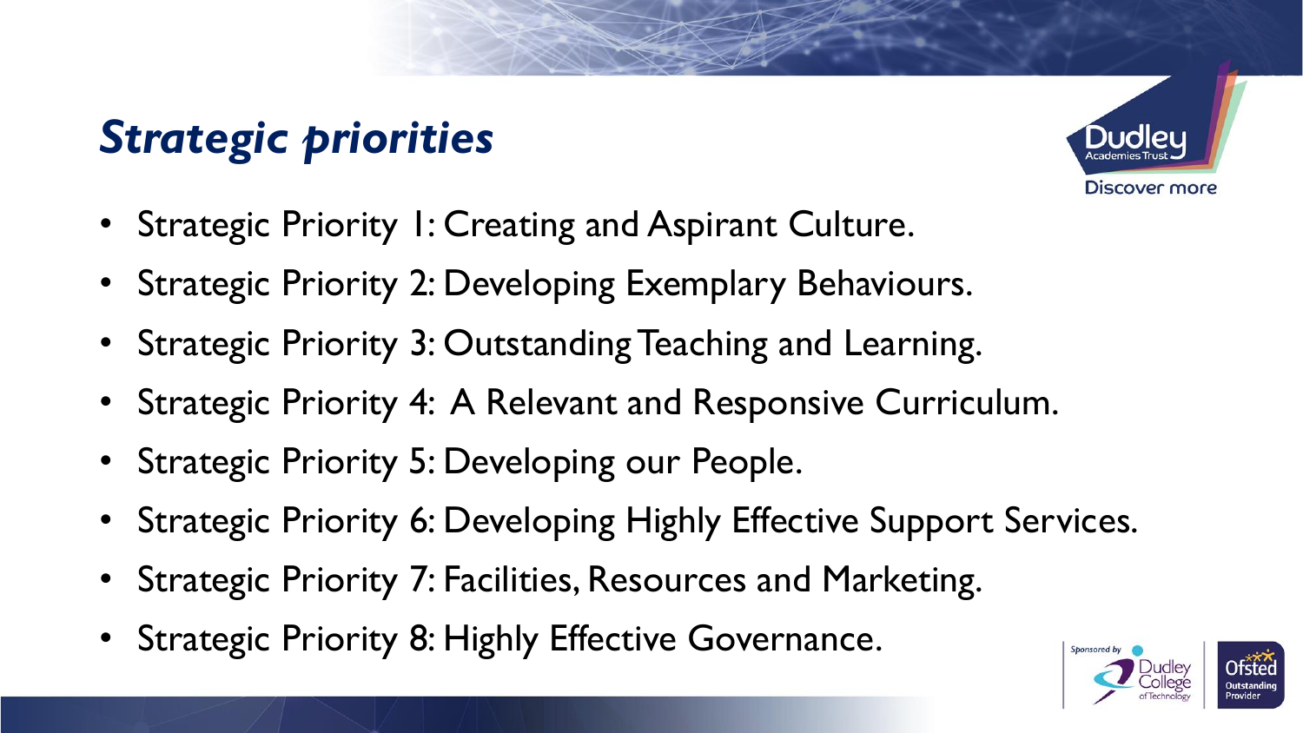## *Strategic priorities*



- Strategic Priority 1: Creating and Aspirant Culture.
- Strategic Priority 2: Developing Exemplary Behaviours.
- Strategic Priority 3: Outstanding Teaching and Learning.
- Strategic Priority 4: A Relevant and Responsive Curriculum.
- Strategic Priority 5: Developing our People.
- Strategic Priority 6: Developing Highly Effective Support Services.
- Strategic Priority 7: Facilities, Resources and Marketing.
- Strategic Priority 8: Highly Effective Governance.

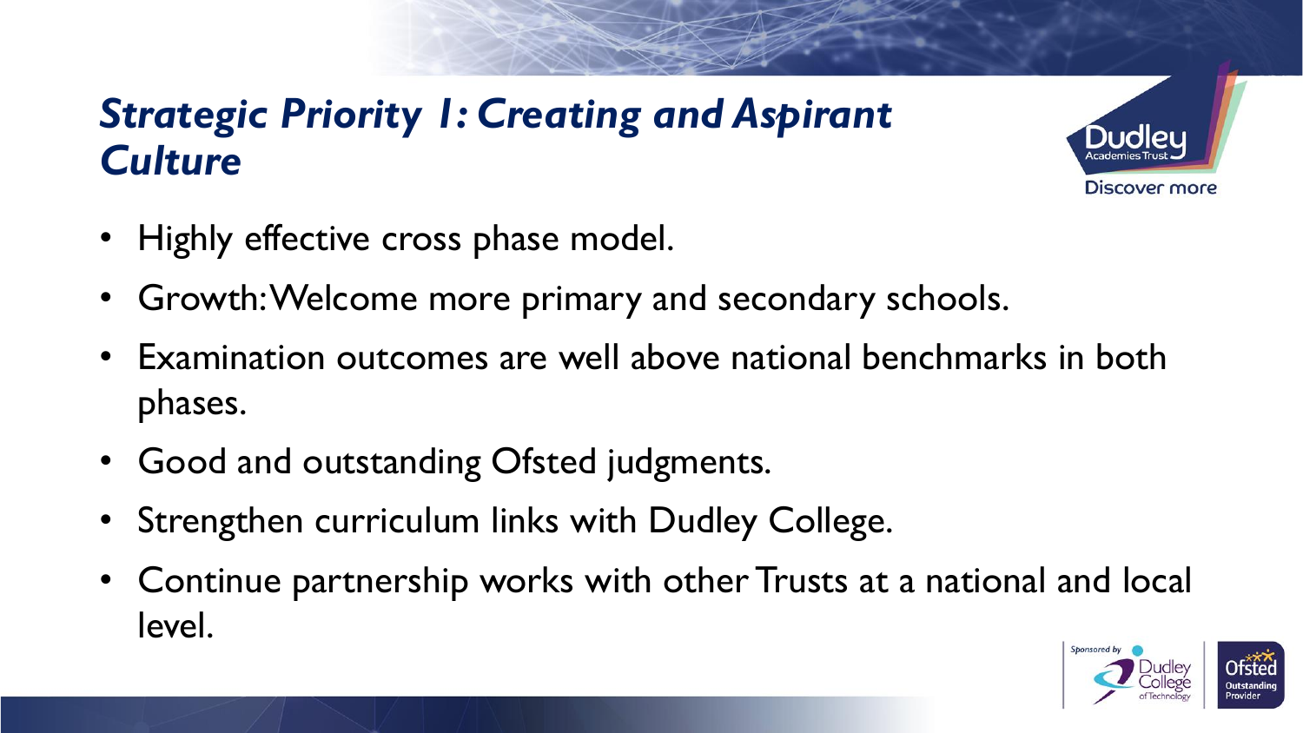#### *Strategic Priority 1: Creating and Aspirant Culture*



- Highly effective cross phase model.
- Growth: Welcome more primary and secondary schools.
- Examination outcomes are well above national benchmarks in both phases.
- Good and outstanding Ofsted judgments.
- Strengthen curriculum links with Dudley College.
- Continue partnership works with other Trusts at a national and local level.

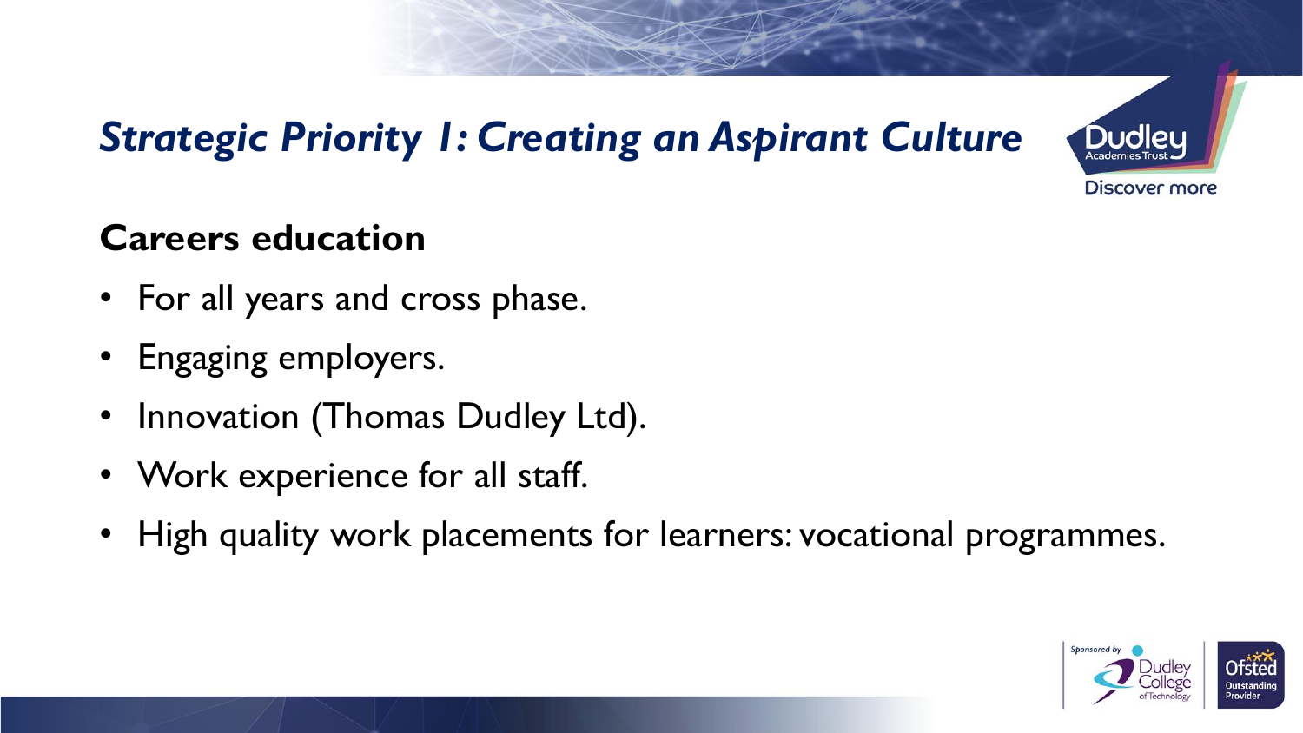## *Strategic Priority 1: Creating an Aspirant Culture*



- For all years and cross phase.
- Engaging employers.
- Innovation (Thomas Dudley Ltd).
- Work experience for all staff.
- High quality work placements for learners: vocational programmes.





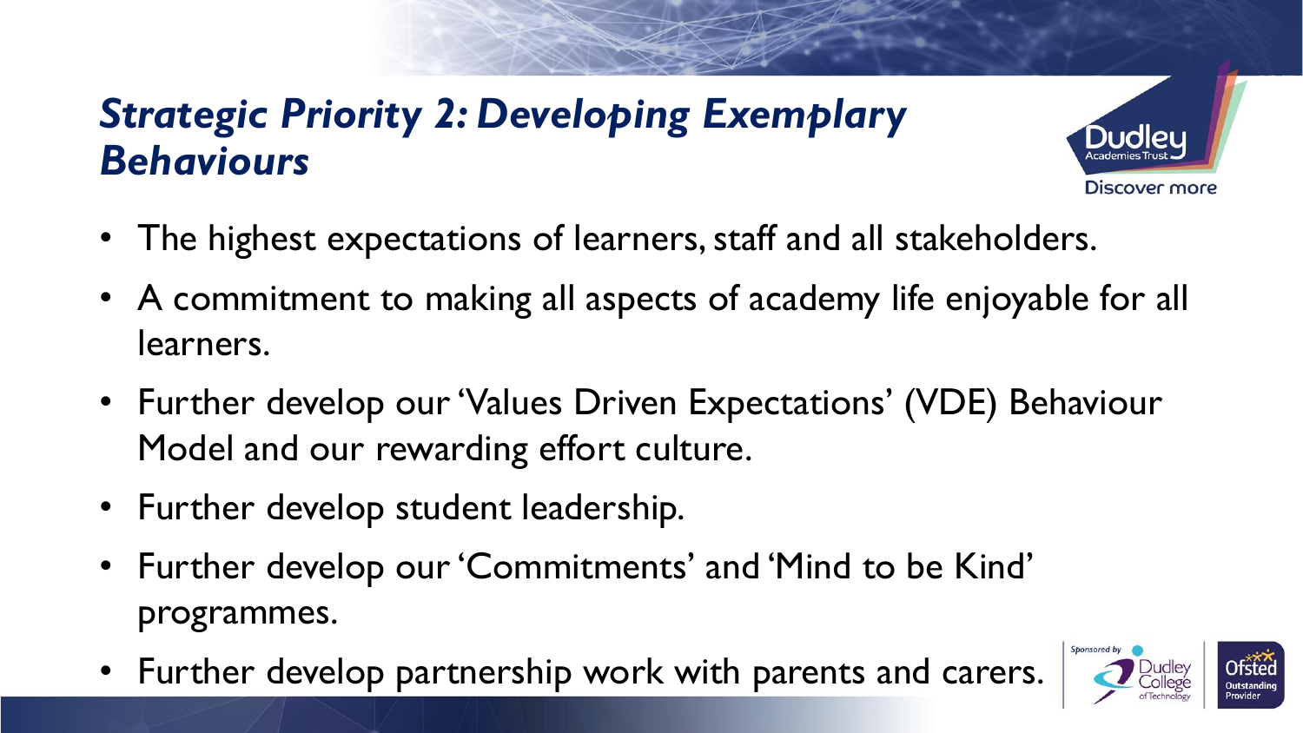#### *Strategic Priority 2: Developing Exemplary Behaviours*



- A commitment to making all aspects of academy life enjoyable for all learners.
- Further develop our 'Values Driven Expectations' (VDE) Behaviour Model and our rewarding effort culture.
- Further develop student leadership.
- Further develop our 'Commitments' and 'Mind to be Kind' programmes.
- Further develop partnership work with parents and carers.



**Discover more**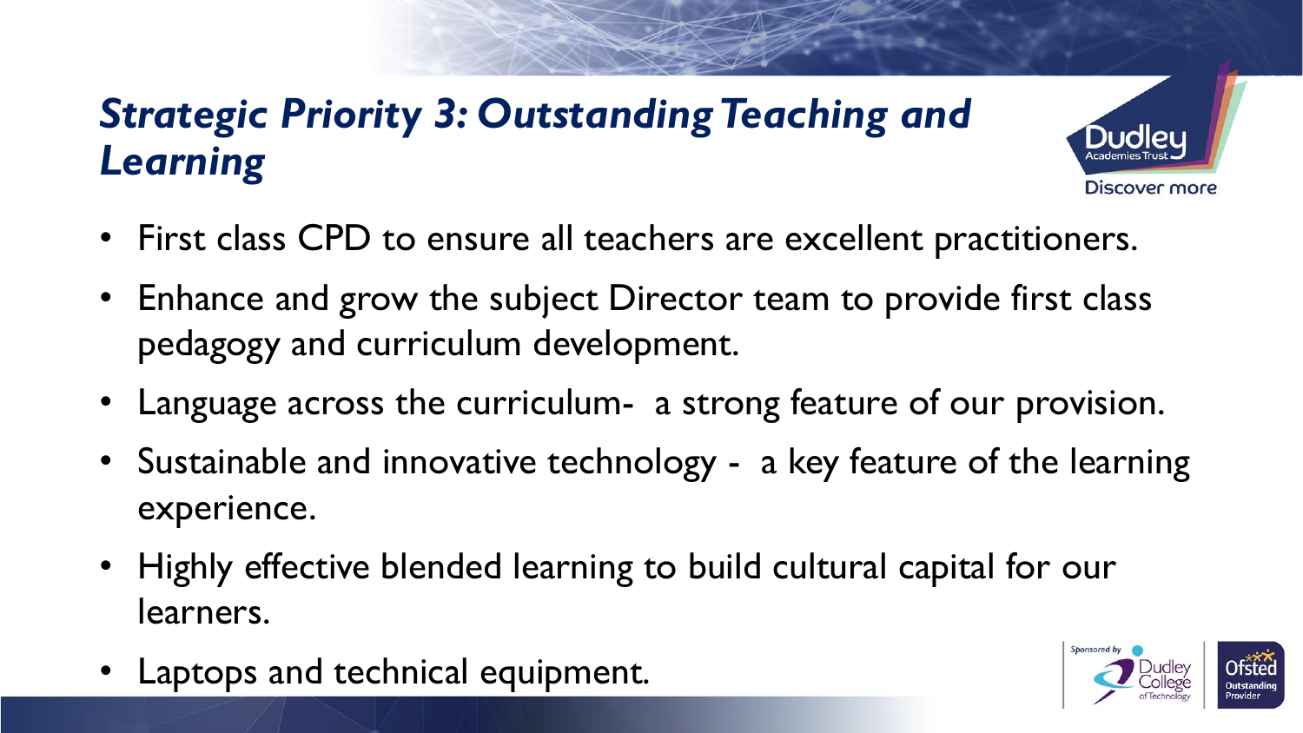## *Strategic Priority 3: Outstanding Teaching and Learning*

- First class CPD to ensure all teachers are excellent practitioners.
- Enhance and grow the subject Director team to provide first class pedagogy and curriculum development.
- Language across the curriculum- a strong feature of our provision.
- Sustainable and innovative technology a key feature of the learning experience.
- Highly effective blended learning to build cultural capital for our learners.
- Laptops and technical equipment.



**Discover more**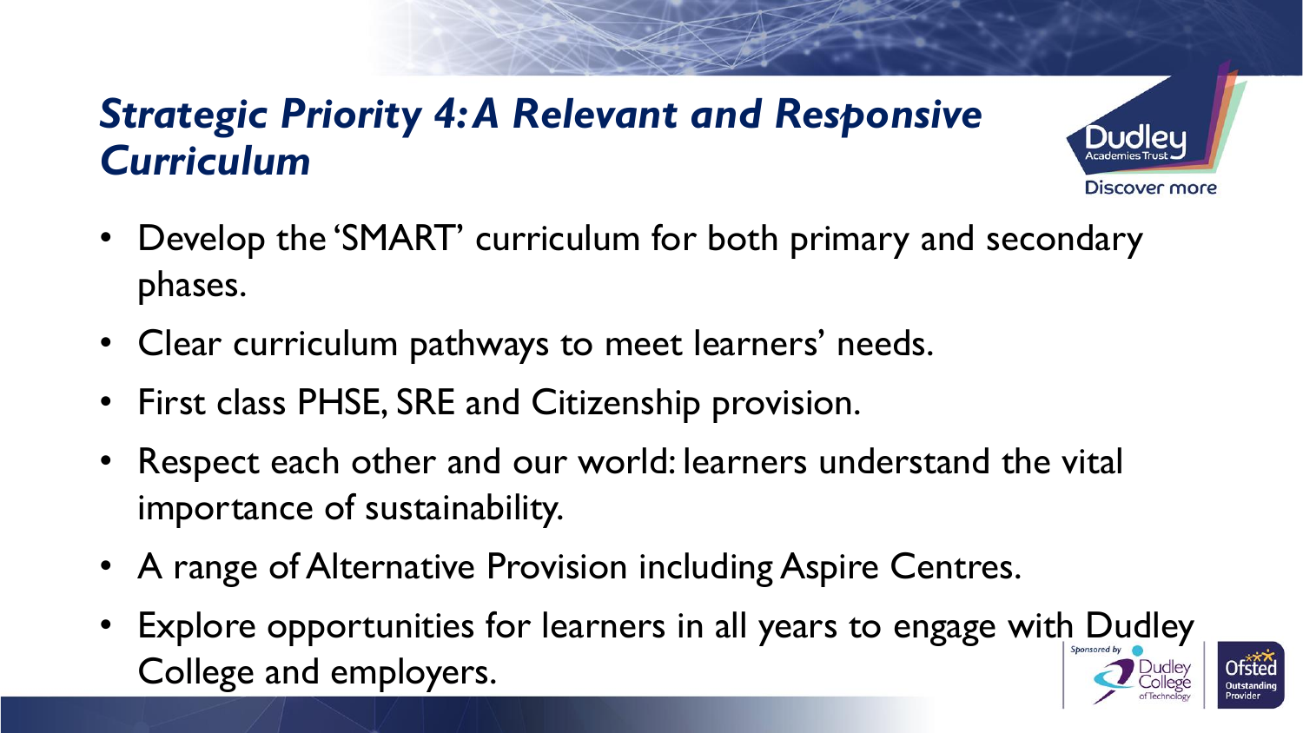#### *Strategic Priority 4: A Relevant and Responsive Curriculum*



Discover more

- Clear curriculum pathways to meet learners' needs.
- First class PHSE, SRE and Citizenship provision.
- Respect each other and our world: learners understand the vital importance of sustainability.
- A range of Alternative Provision including Aspire Centres.
- Explore opportunities for learners in all years to engage with Dudley College and employers.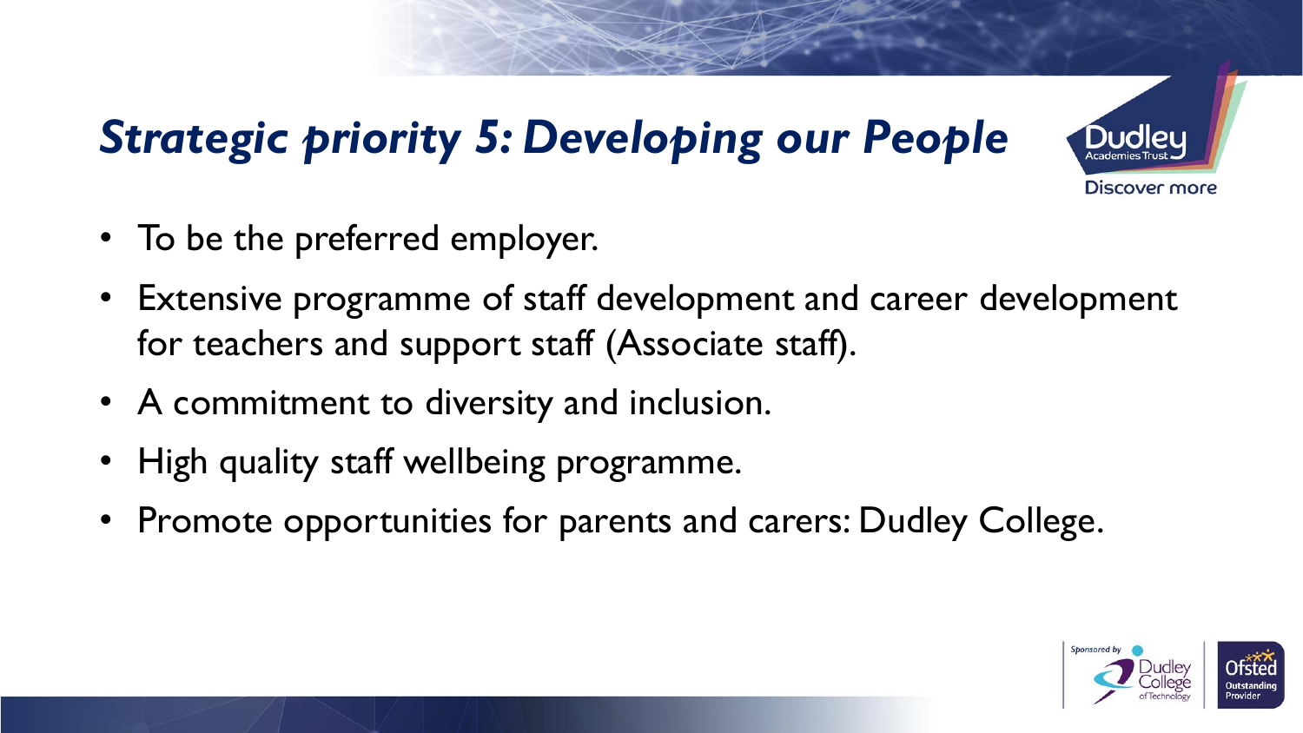## *Strategic priority 5: Developing our People*



- To be the preferred employer.
- Extensive programme of staff development and career development for teachers and support staff (Associate staff).
- A commitment to diversity and inclusion.
- High quality staff wellbeing programme.
- Promote opportunities for parents and carers: Dudley College.

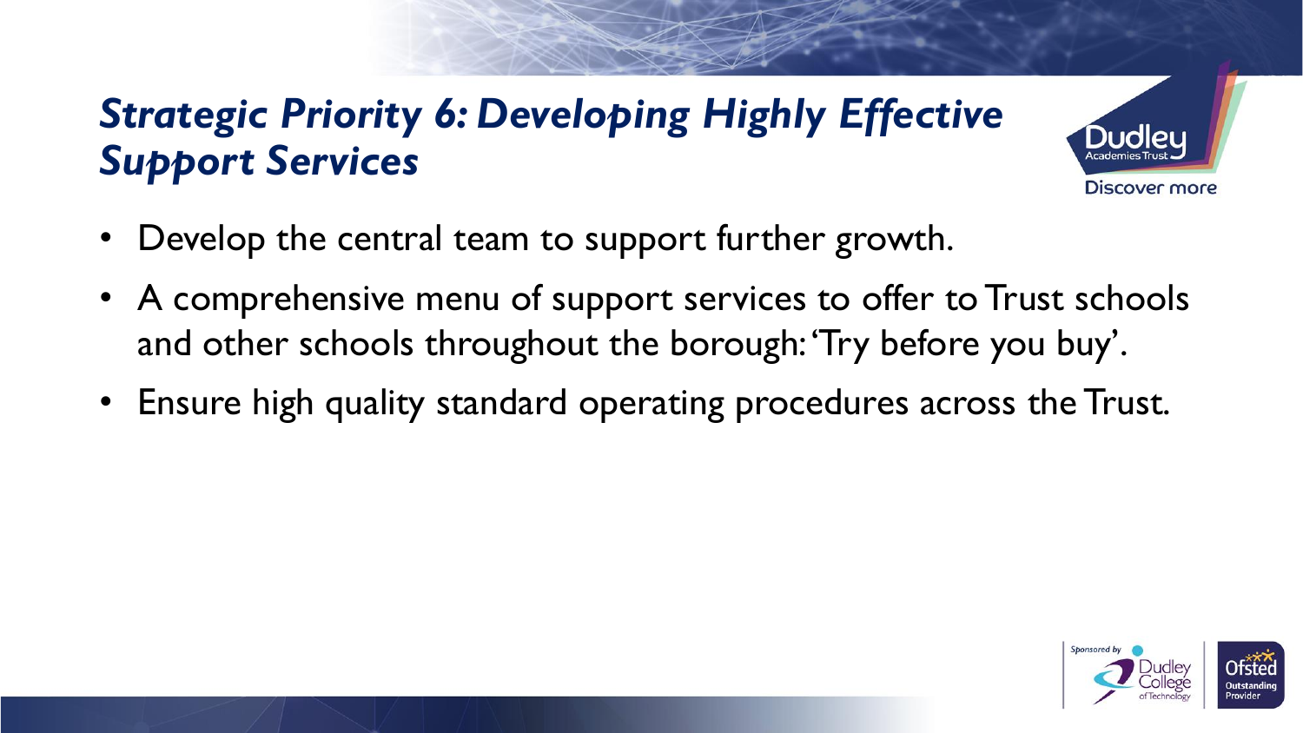### *Strategic Priority 6: Developing Highly Effective Support Services*



- Develop the central team to support further growth.
- A comprehensive menu of support services to offer to Trust schools and other schools throughout the borough: 'Try before you buy'.
- Ensure high quality standard operating procedures across the Trust.

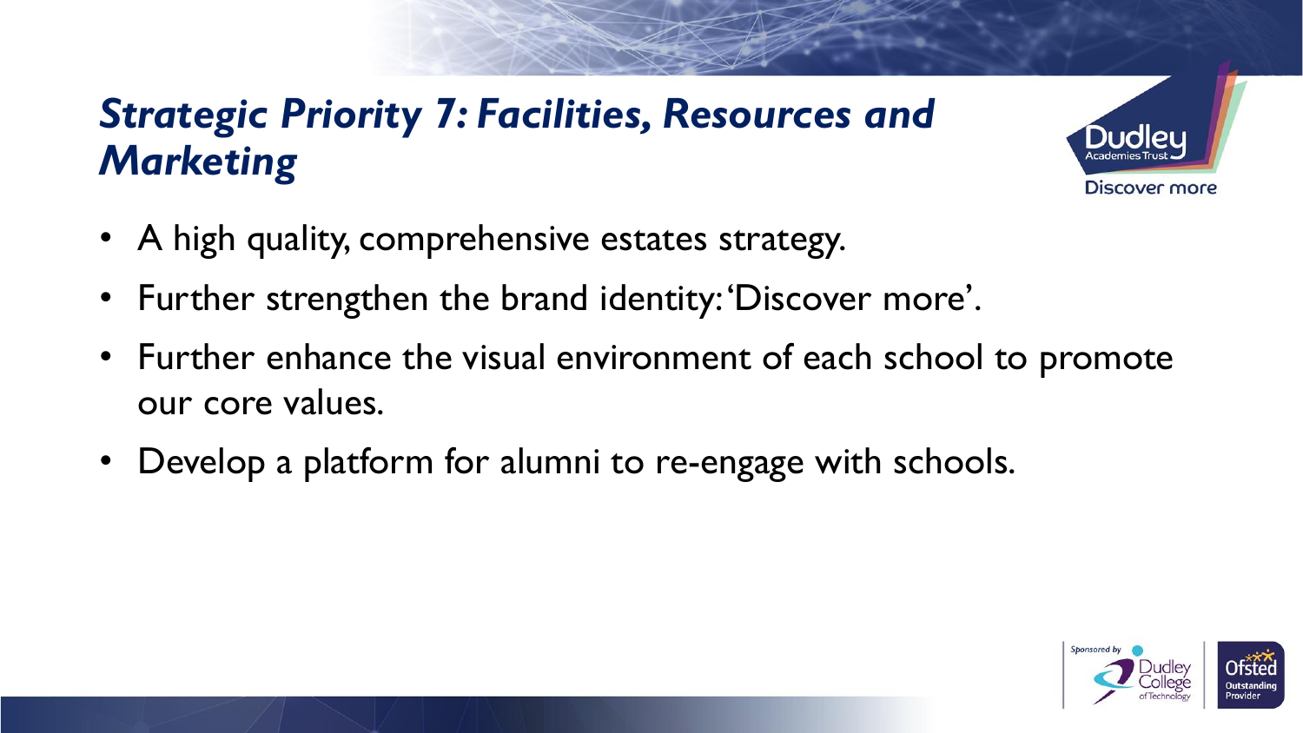### *Strategic Priority 7: Facilities, Resources and Marketing*



- A high quality, comprehensive estates strategy.
- Further strengthen the brand identity: 'Discover more'.
- Further enhance the visual environment of each school to promote our core values.
- Develop a platform for alumni to re-engage with schools.

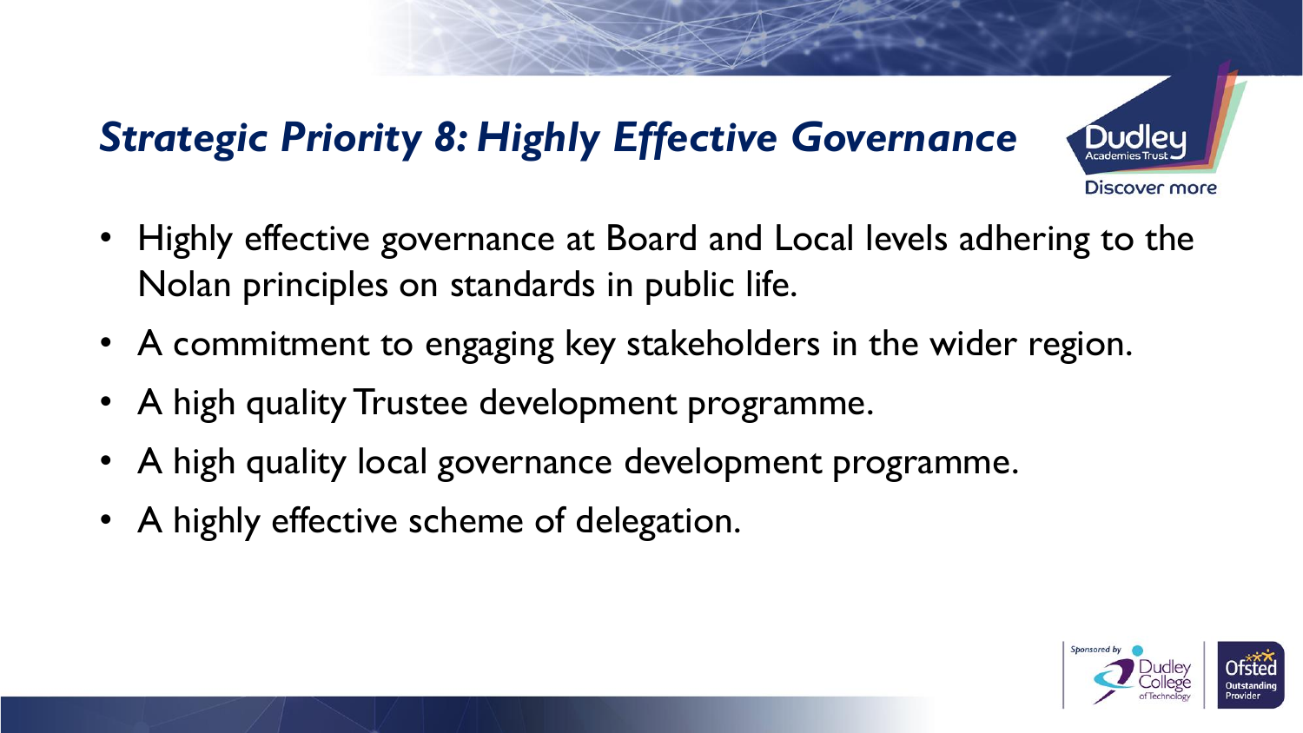## *Strategic Priority 8: Highly Effective Governance*



- Highly effective governance at Board and Local levels adhering to the Nolan principles on standards in public life.
- A commitment to engaging key stakeholders in the wider region.
- A high quality Trustee development programme.
- A high quality local governance development programme.
- A highly effective scheme of delegation.

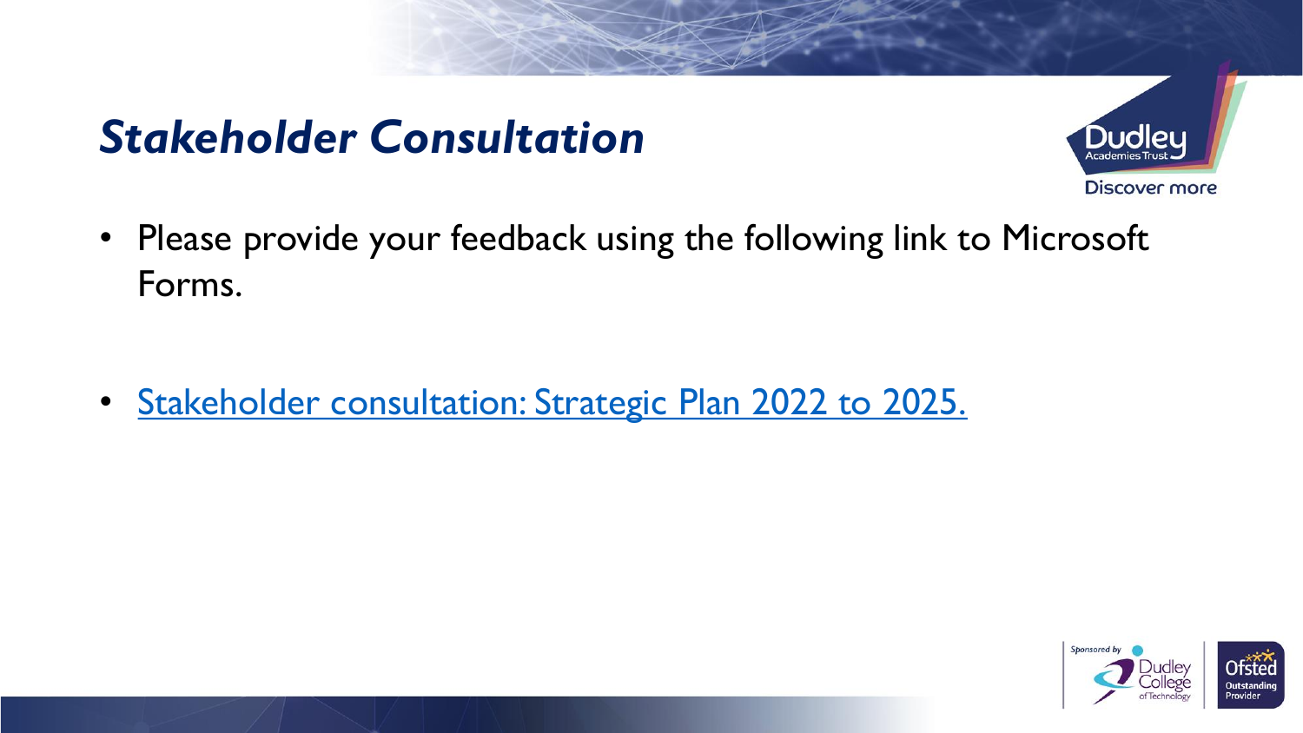## *Stakeholder Consultation*



• Please provide your feedback using the following link to Microsoft Forms.

• [Stakeholder consultation: Strategic Plan 2022 to 2025.](https://forms.office.com/r/Pf88JfZBrM)